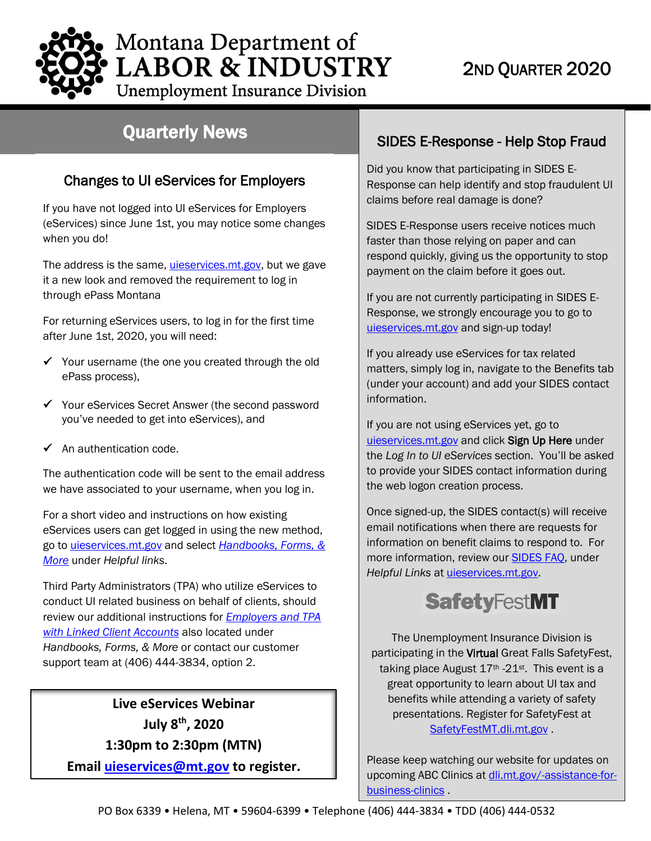# 2ND QUARTER 2020

**LABOR & INDUSTRY Unemployment Insurance Division** 

Montana Department of

## Quarterly News

### Changes to UI eServices for Employers

If you have not logged into [UI eServices for Employers](https://uieservices.mt.gov/_/)  [\(eServices\)](https://uieservices.mt.gov/_/) since June 1st, you may notice some changes when you do!

The address is the same, *uieservices.mt.gov*, but we gave it a new look and removed the requirement to log in through ePass Montana

For returning eServices users, to log in for the first time after June 1st, 2020, you will need:

- $\checkmark$  Your username (the one you created through the old ePass process),
- Your eServices Secret Answer (the second password you've needed to get into eServices), and
- $\checkmark$  An authentication code.

The authentication code will be sent to the email address we have associated to your username, when you log in.

For a short video and instructions on how existing eServices users can get logged in using the new method, go to [uieservices.mt.gov](https://uieservices.mt.gov/_/) and select *[Handbooks, Forms, &](http://uid.dli.mt.gov/employers/eservices/help)  [More](http://uid.dli.mt.gov/employers/eservices/help)* under *Helpful links*.

 *[Handbooks, Forms, & More](http://uid.dli.mt.gov/employers/eservices/help)* or contact our customer Third Party Administrators (TPA) who utilize eServices to conduct UI related business on behalf of clients, should review our additional instructions for *[Employers and TPA](http://uid.dli.mt.gov/Portals/55/Documents/eServices/Employers%20&%20TPA%20with%20Linked%20Client%20Accounts.pdf)  [with Linked Client Accounts](http://uid.dli.mt.gov/Portals/55/Documents/eServices/Employers%20&%20TPA%20with%20Linked%20Client%20Accounts.pdf)* also located under support team at (406) 444-3834, option 2.

**Live eServices Webinar July 8th, 2020 1:30pm to 2:30pm (MTN) Email [uieservices@mt.gov](mailto:uieservices@mt.gov) to register.**

### SIDES E-Response - Help Stop Fraud

Did you know that participating in SIDES E-Response can help identify and stop fraudulent UI claims before real damage is done?

SIDES E-Response users receive notices much faster than those relying on paper and can respond quickly, giving us the opportunity to stop payment on the claim before it goes out.

If you are not currently participating in SIDES E-Response, we strongly encourage you to go to [uieservices.mt.gov](https://uieservices.mt.gov/_/) and sign-up today!

If you already use eServices for tax related matters, simply log in, navigate to the Benefits tab (under your account) and add your SIDES contact information.

If you are not using eServices yet, go to [uieservices.mt.gov](https://uieservices.mt.gov/_/) and click Sign Up Here under the *Log In to UI eServices* section. You'll be asked to provide your SIDES contact information during the web logon creation process.

Once signed-up, the SIDES contact(s) will receive email notifications when there are requests for information on benefit claims to respond to. For more information, review our [SIDES FAQ,](http://uid.dli.mt.gov/Portals/55/Documents/eServices/dli-uid-es026.pdf) under *Helpful Links* at [uieservices.mt.gov.](https://uieservices.mt.gov/_/)



The Unemployment Insurance Division is participating in the Virtual Great Falls SafetyFest, taking place August  $17<sup>th</sup> -21<sup>st</sup>$ . This event is a great opportunity to learn about UI tax and benefits while attending a variety of safety presentations. Register for SafetyFest at SafetyFestMT.dli.mt.gov.

Please keep watching our website for updates on upcoming ABC Clinics a[t dli.mt.gov/-assistance-for](http://dli.mt.gov/-assistance-for-business-clinics)[business-clinics](http://dli.mt.gov/-assistance-for-business-clinics) .